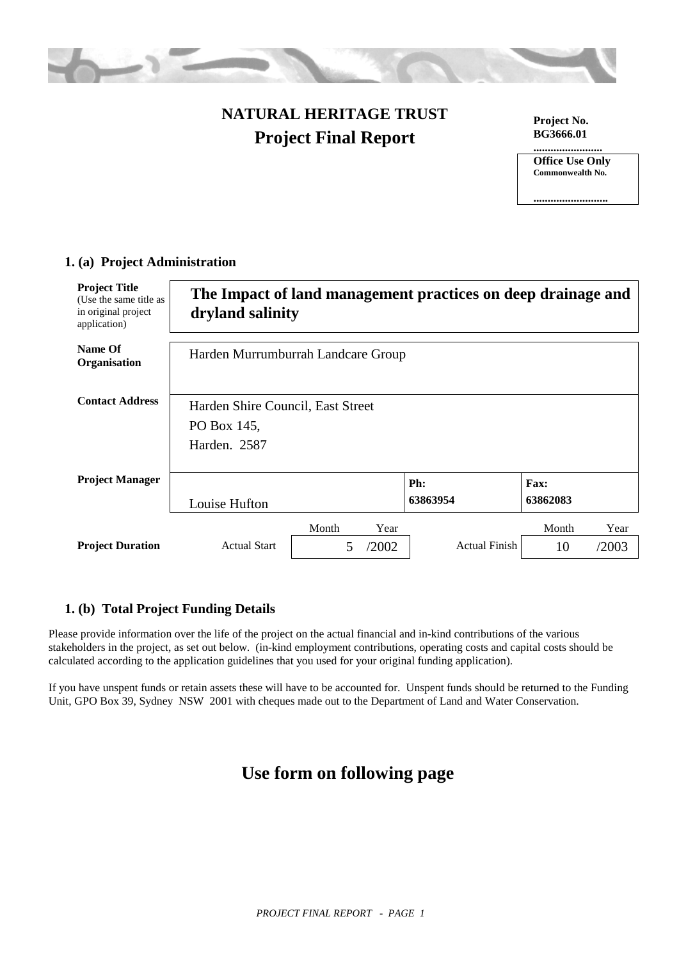

## **NATURAL HERITAGE TRUST Project Final Report**

**Project No. BG3666.01**

**........................**

**Office Use Only Commonwealth No.**

**..........................**

| <b>Project Title</b><br>(Use the same title as<br>in original project<br>application) | dryland salinity                                                 |                                  |               | The Impact of land management practices on deep drainage and |                  |               |
|---------------------------------------------------------------------------------------|------------------------------------------------------------------|----------------------------------|---------------|--------------------------------------------------------------|------------------|---------------|
| Name Of<br>Organisation                                                               | Harden Murrumburrah Landcare Group                               |                                  |               |                                                              |                  |               |
| <b>Contact Address</b>                                                                | Harden Shire Council, East Street<br>PO Box 145,<br>Harden. 2587 |                                  |               |                                                              |                  |               |
| <b>Project Manager</b>                                                                | Louise Hufton                                                    |                                  |               | Ph:<br>63863954                                              | Fax:<br>63862083 |               |
| <b>Project Duration</b>                                                               | <b>Actual Start</b>                                              | Month<br>$\overline{\mathbf{5}}$ | Year<br>/2002 | <b>Actual Finish</b>                                         | Month<br>10      | Year<br>/2003 |

## **1. (a) Project Administration**

## **1. (b) Total Project Funding Details**

Please provide information over the life of the project on the actual financial and in-kind contributions of the various stakeholders in the project, as set out below. (in-kind employment contributions, operating costs and capital costs should be calculated according to the application guidelines that you used for your original funding application).

If you have unspent funds or retain assets these will have to be accounted for. Unspent funds should be returned to the Funding Unit, GPO Box 39, Sydney NSW 2001 with cheques made out to the Department of Land and Water Conservation.

## **Use form on following page**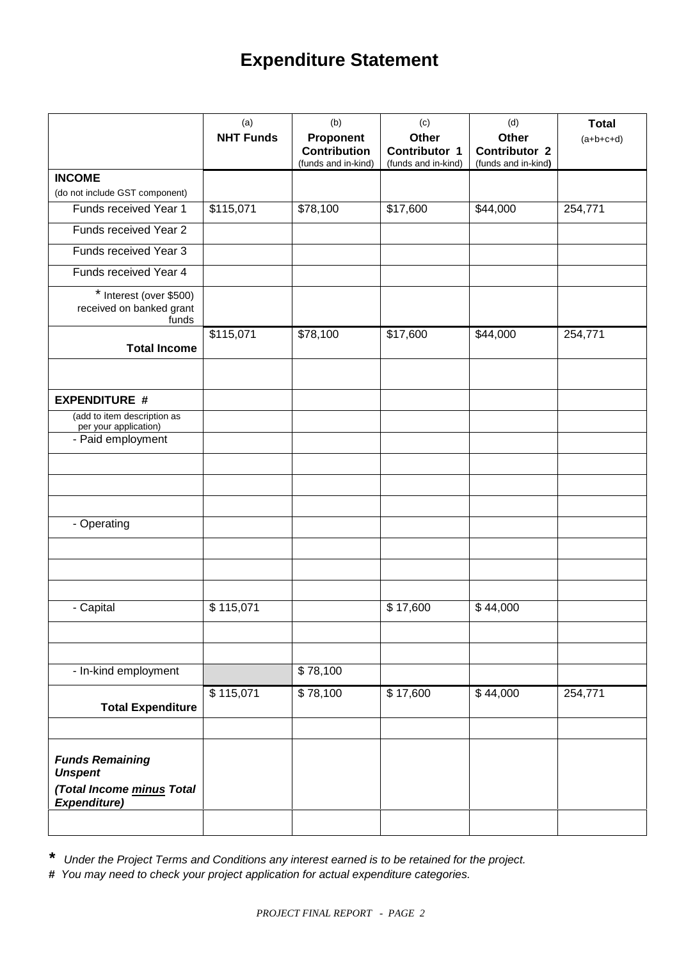# **Expenditure Statement**

|                                                                                              | (a)              | (b)                              | (c)                    | (d)                    | <b>Total</b> |
|----------------------------------------------------------------------------------------------|------------------|----------------------------------|------------------------|------------------------|--------------|
|                                                                                              | <b>NHT Funds</b> | Proponent<br><b>Contribution</b> | Other<br>Contributor 1 | Other<br>Contributor 2 | $(a+b+c+d)$  |
|                                                                                              |                  | (funds and in-kind)              | (funds and in-kind)    | (funds and in-kind)    |              |
| <b>INCOME</b>                                                                                |                  |                                  |                        |                        |              |
| (do not include GST component)                                                               |                  |                                  |                        |                        |              |
| Funds received Year 1                                                                        | \$115,071        | \$78,100                         | \$17,600               | \$44,000               | 254,771      |
| Funds received Year 2                                                                        |                  |                                  |                        |                        |              |
| Funds received Year 3                                                                        |                  |                                  |                        |                        |              |
| Funds received Year 4                                                                        |                  |                                  |                        |                        |              |
| * Interest (over \$500)<br>received on banked grant<br>funds                                 |                  |                                  |                        |                        |              |
| <b>Total Income</b>                                                                          | \$115,071        | \$78,100                         | \$17,600               | \$44,000               | 254,771      |
| <b>EXPENDITURE #</b>                                                                         |                  |                                  |                        |                        |              |
| (add to item description as<br>per your application)                                         |                  |                                  |                        |                        |              |
| - Paid employment                                                                            |                  |                                  |                        |                        |              |
|                                                                                              |                  |                                  |                        |                        |              |
| - Operating                                                                                  |                  |                                  |                        |                        |              |
|                                                                                              |                  |                                  |                        |                        |              |
|                                                                                              |                  |                                  |                        |                        |              |
| - Capital                                                                                    | \$115,071        |                                  | \$17,600               | \$44,000               |              |
|                                                                                              |                  |                                  |                        |                        |              |
| - In-kind employment                                                                         |                  | \$78,100                         |                        |                        |              |
| <b>Total Expenditure</b>                                                                     | \$115,071        | \$78,100                         | \$17,600               | \$44,000               | 254,771      |
|                                                                                              |                  |                                  |                        |                        |              |
| <b>Funds Remaining</b><br><b>Unspent</b><br>(Total Income minus Total<br><b>Expenditure)</b> |                  |                                  |                        |                        |              |
|                                                                                              |                  |                                  |                        |                        |              |

*\* Under the Project Terms and Conditions any interest earned is to be retained for the project.*

*# You may need to check your project application for actual expenditure categories.*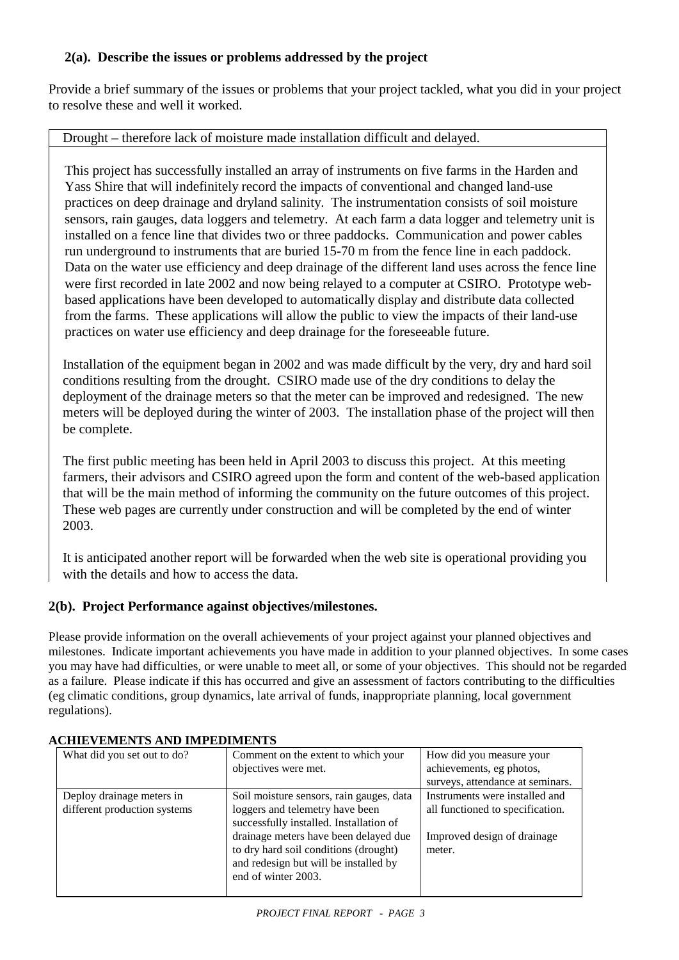## **2(a). Describe the issues or problems addressed by the project**

Provide a brief summary of the issues or problems that your project tackled, what you did in your project to resolve these and well it worked.

## Drought – therefore lack of moisture made installation difficult and delayed.

This project has successfully installed an array of instruments on five farms in the Harden and Yass Shire that will indefinitely record the impacts of conventional and changed land-use practices on deep drainage and dryland salinity. The instrumentation consists of soil moisture sensors, rain gauges, data loggers and telemetry. At each farm a data logger and telemetry unit is installed on a fence line that divides two or three paddocks. Communication and power cables run underground to instruments that are buried 15-70 m from the fence line in each paddock. Data on the water use efficiency and deep drainage of the different land uses across the fence line were first recorded in late 2002 and now being relayed to a computer at CSIRO. Prototype webbased applications have been developed to automatically display and distribute data collected from the farms. These applications will allow the public to view the impacts of their land-use practices on water use efficiency and deep drainage for the foreseeable future.

Installation of the equipment began in 2002 and was made difficult by the very, dry and hard soil conditions resulting from the drought. CSIRO made use of the dry conditions to delay the deployment of the drainage meters so that the meter can be improved and redesigned. The new meters will be deployed during the winter of 2003. The installation phase of the project will then be complete.

The first public meeting has been held in April 2003 to discuss this project. At this meeting farmers, their advisors and CSIRO agreed upon the form and content of the web-based application that will be the main method of informing the community on the future outcomes of this project. These web pages are currently under construction and will be completed by the end of winter 2003.

It is anticipated another report will be forwarded when the web site is operational providing you with the details and how to access the data.

## **2(b). Project Performance against objectives/milestones.**

Please provide information on the overall achievements of your project against your planned objectives and milestones. Indicate important achievements you have made in addition to your planned objectives. In some cases you may have had difficulties, or were unable to meet all, or some of your objectives. This should not be regarded as a failure. Please indicate if this has occurred and give an assessment of factors contributing to the difficulties (eg climatic conditions, group dynamics, late arrival of funds, inappropriate planning, local government regulations).

| What did you set out to do?                               | Comment on the extent to which your<br>objectives were met.                                                                                                                                                                                                              | How did you measure your<br>achievements, eg photos,<br>surveys, attendance at seminars.                    |
|-----------------------------------------------------------|--------------------------------------------------------------------------------------------------------------------------------------------------------------------------------------------------------------------------------------------------------------------------|-------------------------------------------------------------------------------------------------------------|
| Deploy drainage meters in<br>different production systems | Soil moisture sensors, rain gauges, data<br>loggers and telemetry have been<br>successfully installed. Installation of<br>drainage meters have been delayed due<br>to dry hard soil conditions (drought)<br>and redesign but will be installed by<br>end of winter 2003. | Instruments were installed and<br>all functioned to specification.<br>Improved design of drainage<br>meter. |

## **ACHIEVEMENTS AND IMPEDIMENTS**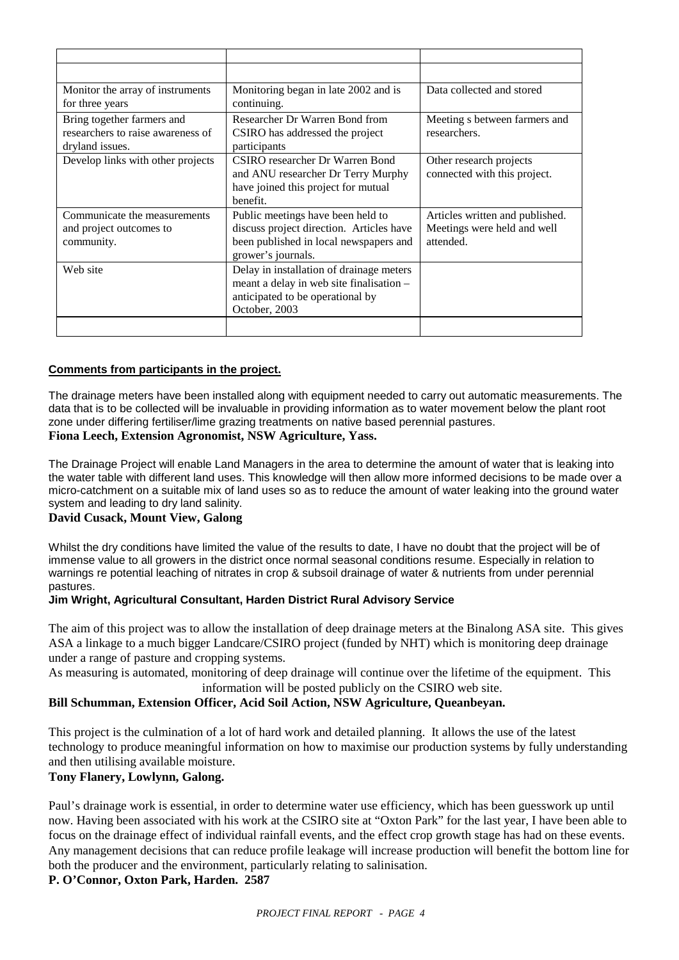| Monitor the array of instruments<br>for three years                                | Monitoring began in late 2002 and is<br>continuing.                                                                                           | Data collected and stored                                                   |
|------------------------------------------------------------------------------------|-----------------------------------------------------------------------------------------------------------------------------------------------|-----------------------------------------------------------------------------|
| Bring together farmers and<br>researchers to raise awareness of<br>dryland issues. | Researcher Dr Warren Bond from<br>CSIRO has addressed the project<br>participants                                                             | Meeting s between farmers and<br>researchers.                               |
| Develop links with other projects                                                  | CSIRO researcher Dr Warren Bond<br>and ANU researcher Dr Terry Murphy<br>have joined this project for mutual<br>benefit.                      | Other research projects<br>connected with this project.                     |
| Communicate the measurements<br>and project outcomes to<br>community.              | Public meetings have been held to<br>discuss project direction. Articles have<br>been published in local newspapers and<br>grower's journals. | Articles written and published.<br>Meetings were held and well<br>attended. |
| Web site                                                                           | Delay in installation of drainage meters<br>meant a delay in web site finalisation -<br>anticipated to be operational by<br>October, 2003     |                                                                             |
|                                                                                    |                                                                                                                                               |                                                                             |

#### **Comments from participants in the project.**

The drainage meters have been installed along with equipment needed to carry out automatic measurements. The data that is to be collected will be invaluable in providing information as to water movement below the plant root zone under differing fertiliser/lime grazing treatments on native based perennial pastures.

#### **Fiona Leech, Extension Agronomist, NSW Agriculture, Yass.**

The Drainage Project will enable Land Managers in the area to determine the amount of water that is leaking into the water table with different land uses. This knowledge will then allow more informed decisions to be made over a micro-catchment on a suitable mix of land uses so as to reduce the amount of water leaking into the ground water system and leading to dry land salinity.

#### **David Cusack, Mount View, Galong**

Whilst the dry conditions have limited the value of the results to date, I have no doubt that the project will be of immense value to all growers in the district once normal seasonal conditions resume. Especially in relation to warnings re potential leaching of nitrates in crop & subsoil drainage of water & nutrients from under perennial pastures.

#### **Jim Wright, Agricultural Consultant, Harden District Rural Advisory Service**

The aim of this project was to allow the installation of deep drainage meters at the Binalong ASA site. This gives ASA a linkage to a much bigger Landcare/CSIRO project (funded by NHT) which is monitoring deep drainage under a range of pasture and cropping systems.

As measuring is automated, monitoring of deep drainage will continue over the lifetime of the equipment. This information will be posted publicly on the CSIRO web site.

#### **Bill Schumman, Extension Officer, Acid Soil Action, NSW Agriculture, Queanbeyan.**

This project is the culmination of a lot of hard work and detailed planning. It allows the use of the latest technology to produce meaningful information on how to maximise our production systems by fully understanding and then utilising available moisture.

#### **Tony Flanery, Lowlynn, Galong.**

Paul's drainage work is essential, in order to determine water use efficiency, which has been guesswork up until now. Having been associated with his work at the CSIRO site at "Oxton Park" for the last year, I have been able to focus on the drainage effect of individual rainfall events, and the effect crop growth stage has had on these events. Any management decisions that can reduce profile leakage will increase production will benefit the bottom line for both the producer and the environment, particularly relating to salinisation.

#### **P. O'Connor, Oxton Park, Harden. 2587**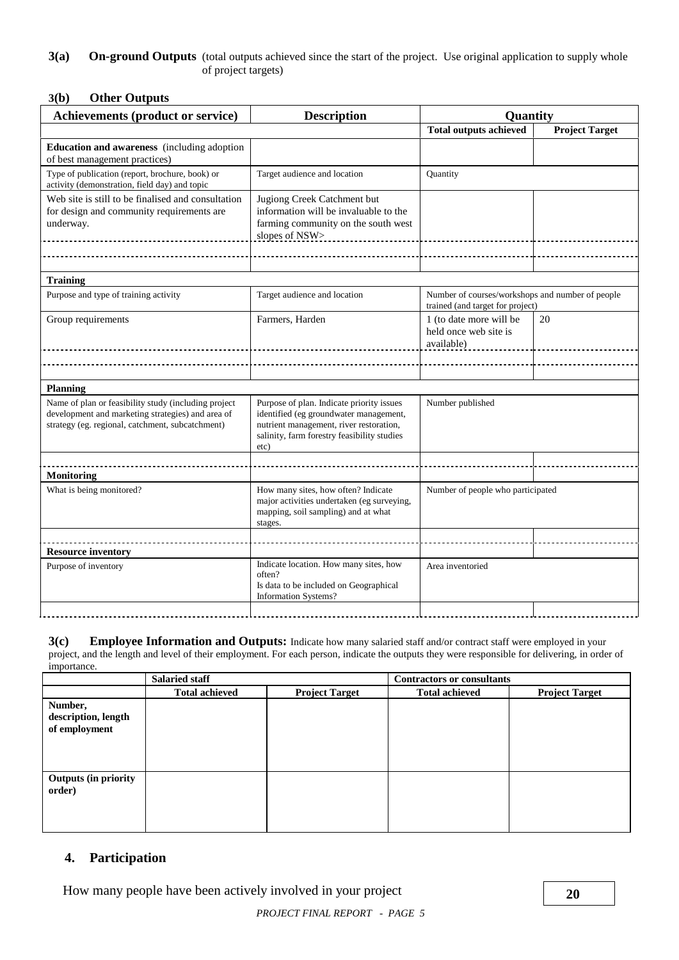#### **3(a)** On-ground Outputs (total outputs achieved since the start of the project. Use original application to supply whole of project targets)

#### **3(b) Other Outputs**

| <b>Achievements (product or service)</b>                                                                                                                      | <b>Description</b>                                                                                                                                                                    | <b>Quantity</b>                                                                      |                       |
|---------------------------------------------------------------------------------------------------------------------------------------------------------------|---------------------------------------------------------------------------------------------------------------------------------------------------------------------------------------|--------------------------------------------------------------------------------------|-----------------------|
|                                                                                                                                                               |                                                                                                                                                                                       | <b>Total outputs achieved</b>                                                        | <b>Project Target</b> |
| <b>Education and awareness</b> (including adoption<br>of best management practices)                                                                           |                                                                                                                                                                                       |                                                                                      |                       |
| Type of publication (report, brochure, book) or<br>activity (demonstration, field day) and topic                                                              | Target audience and location                                                                                                                                                          | Quantity                                                                             |                       |
| Web site is still to be finalised and consultation<br>for design and community requirements are<br>underway.                                                  | Jugiong Creek Catchment but<br>information will be invaluable to the<br>farming community on the south west<br>slopes of NSW>                                                         |                                                                                      |                       |
|                                                                                                                                                               |                                                                                                                                                                                       |                                                                                      |                       |
| <b>Training</b>                                                                                                                                               |                                                                                                                                                                                       |                                                                                      |                       |
| Purpose and type of training activity                                                                                                                         | Target audience and location                                                                                                                                                          | Number of courses/workshops and number of people<br>trained (and target for project) |                       |
| Group requirements                                                                                                                                            | Farmers, Harden                                                                                                                                                                       | 1 (to date more will be<br>held once web site is<br>available)                       | 20                    |
|                                                                                                                                                               |                                                                                                                                                                                       |                                                                                      |                       |
| <b>Planning</b>                                                                                                                                               |                                                                                                                                                                                       |                                                                                      |                       |
| Name of plan or feasibility study (including project<br>development and marketing strategies) and area of<br>strategy (eg. regional, catchment, subcatchment) | Purpose of plan. Indicate priority issues<br>identified (eg groundwater management,<br>nutrient management, river restoration,<br>salinity, farm forestry feasibility studies<br>etc) | Number published                                                                     |                       |
|                                                                                                                                                               |                                                                                                                                                                                       |                                                                                      |                       |
| <b>Monitoring</b>                                                                                                                                             |                                                                                                                                                                                       |                                                                                      |                       |
| What is being monitored?                                                                                                                                      | How many sites, how often? Indicate<br>major activities undertaken (eg surveying,<br>mapping, soil sampling) and at what<br>stages.                                                   | Number of people who participated                                                    |                       |
|                                                                                                                                                               |                                                                                                                                                                                       |                                                                                      |                       |
| <b>Resource inventory</b>                                                                                                                                     |                                                                                                                                                                                       |                                                                                      |                       |
| Purpose of inventory                                                                                                                                          | Indicate location. How many sites, how<br>often?<br>Is data to be included on Geographical<br><b>Information Systems?</b>                                                             | Area inventoried                                                                     |                       |
|                                                                                                                                                               |                                                                                                                                                                                       |                                                                                      |                       |

| 3(c)        | <b>Employee Information and Outputs:</b> Indicate how many salaried staff and/or contract staff were employed in your                          |
|-------------|------------------------------------------------------------------------------------------------------------------------------------------------|
|             | project, and the length and level of their employment. For each person, indicate the outputs they were responsible for delivering, in order of |
| importance. |                                                                                                                                                |

|                                                 | <b>Salaried staff</b> |                       | <b>Contractors or consultants</b> |                       |
|-------------------------------------------------|-----------------------|-----------------------|-----------------------------------|-----------------------|
|                                                 | <b>Total achieved</b> | <b>Project Target</b> | <b>Total achieved</b>             | <b>Project Target</b> |
| Number,<br>description, length<br>of employment |                       |                       |                                   |                       |
| Outputs (in priority<br>order)                  |                       |                       |                                   |                       |

## **4. Participation**

How many people have been actively involved in your project **20**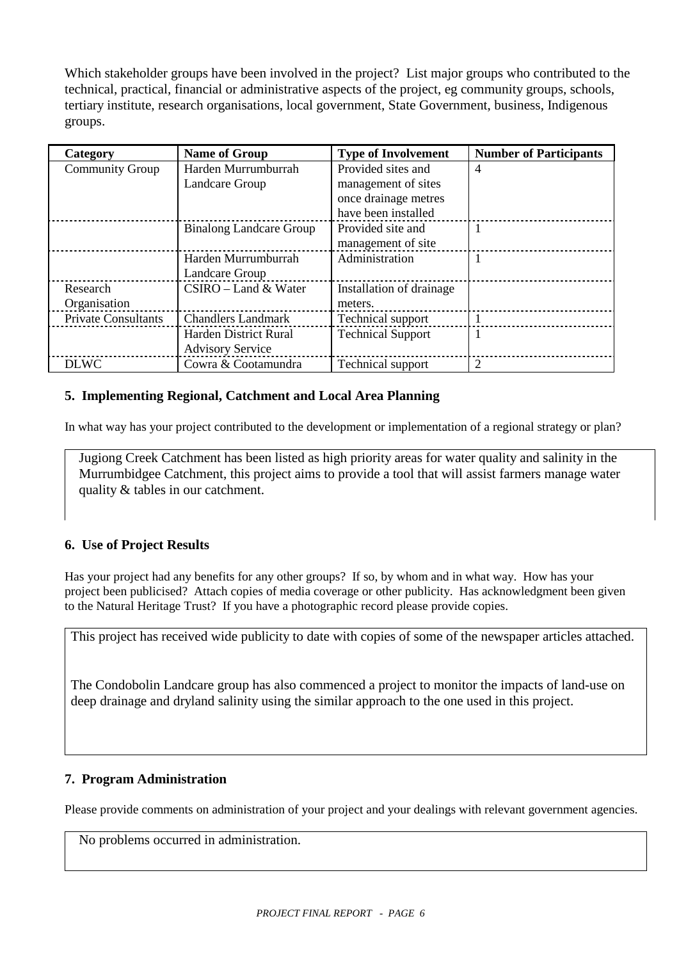Which stakeholder groups have been involved in the project? List major groups who contributed to the technical, practical, financial or administrative aspects of the project, eg community groups, schools, tertiary institute, research organisations, local government, State Government, business, Indigenous groups.

| Category                   | <b>Name of Group</b>           | <b>Type of Involvement</b> | <b>Number of Participants</b> |
|----------------------------|--------------------------------|----------------------------|-------------------------------|
| <b>Community Group</b>     | Harden Murrumburrah            | Provided sites and         | $\overline{4}$                |
|                            | Landcare Group                 | management of sites        |                               |
|                            |                                | once drainage metres       |                               |
|                            |                                | have been installed        |                               |
|                            | <b>Binalong Landcare Group</b> | Provided site and          | 1                             |
|                            |                                | management of site         |                               |
|                            | Harden Murrumburrah            | Administration             |                               |
|                            | Landcare Group                 |                            |                               |
| Research                   | $CSIRO$ – Land & Water         | Installation of drainage   |                               |
| Organisation               |                                | meters.                    |                               |
| <b>Private Consultants</b> | <b>Chandlers Landmark</b>      | Technical support          |                               |
|                            | Harden District Rural          | <b>Technical Support</b>   | 1                             |
|                            | <b>Advisory Service</b>        |                            |                               |
| <b>DLWC</b>                | Cowra & Cootamundra            | Technical support          | 2                             |

## **5. Implementing Regional, Catchment and Local Area Planning**

In what way has your project contributed to the development or implementation of a regional strategy or plan?

Jugiong Creek Catchment has been listed as high priority areas for water quality and salinity in the Murrumbidgee Catchment, this project aims to provide a tool that will assist farmers manage water quality & tables in our catchment.

## **6. Use of Project Results**

Has your project had any benefits for any other groups? If so, by whom and in what way. How has your project been publicised? Attach copies of media coverage or other publicity. Has acknowledgment been given to the Natural Heritage Trust? If you have a photographic record please provide copies.

This project has received wide publicity to date with copies of some of the newspaper articles attached.

The Condobolin Landcare group has also commenced a project to monitor the impacts of land-use on deep drainage and dryland salinity using the similar approach to the one used in this project.

## **7. Program Administration**

Please provide comments on administration of your project and your dealings with relevant government agencies.

No problems occurred in administration.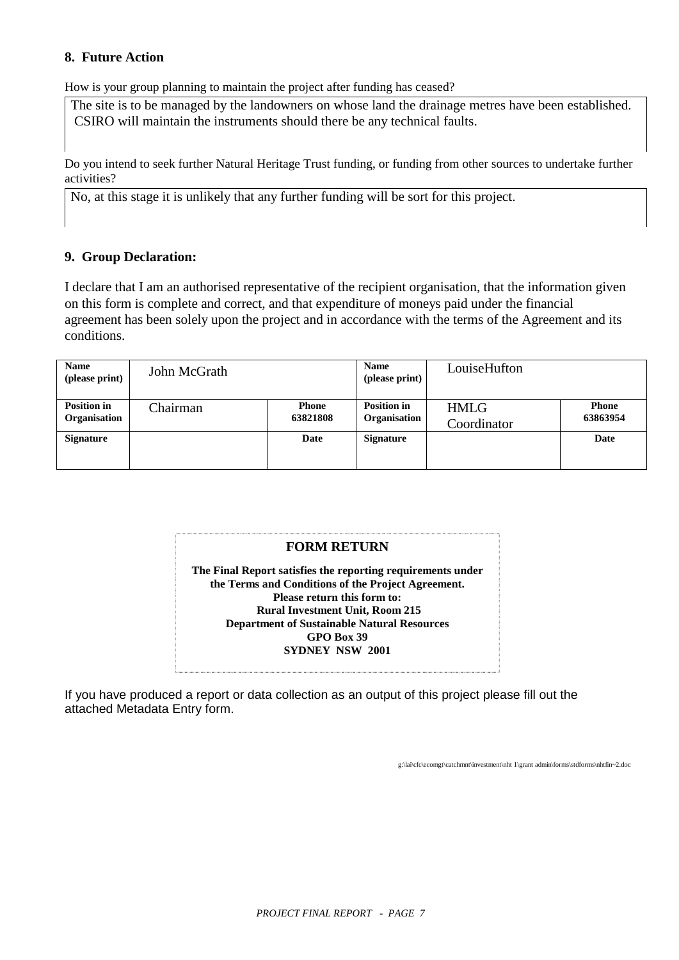## **8. Future Action**

How is your group planning to maintain the project after funding has ceased?

The site is to be managed by the landowners on whose land the drainage metres have been established. CSIRO will maintain the instruments should there be any technical faults.

Do you intend to seek further Natural Heritage Trust funding, or funding from other sources to undertake further activities?

No, at this stage it is unlikely that any further funding will be sort for this project.

## **9. Group Declaration:**

I declare that I am an authorised representative of the recipient organisation, that the information given on this form is complete and correct, and that expenditure of moneys paid under the financial agreement has been solely upon the project and in accordance with the terms of the Agreement and its conditions.

| <b>Name</b><br>(please print)             | John McGrath |                          | <b>Name</b><br>(please print)      | LouiseHufton               |                          |
|-------------------------------------------|--------------|--------------------------|------------------------------------|----------------------------|--------------------------|
| <b>Position in</b><br><b>Organisation</b> | Chairman     | <b>Phone</b><br>63821808 | <b>Position in</b><br>Organisation | <b>HMLG</b><br>Coordinator | <b>Phone</b><br>63863954 |
| <b>Signature</b>                          |              | Date                     | <b>Signature</b>                   |                            | Date                     |

## **FORM RETURN**

**The Final Report satisfies the reporting requirements under the Terms and Conditions of the Project Agreement. Please return this form to: Rural Investment Unit, Room 215 Department of Sustainable Natural Resources GPO Box 39 SYDNEY NSW 2001**

If you have produced a report or data collection as an output of this project please fill out the attached Metadata Entry form.

g:\lai\cfc\ecomgt\catchmnt\investment\nht 1\grant admin\forms\stdforms\nhtfin~2.doc